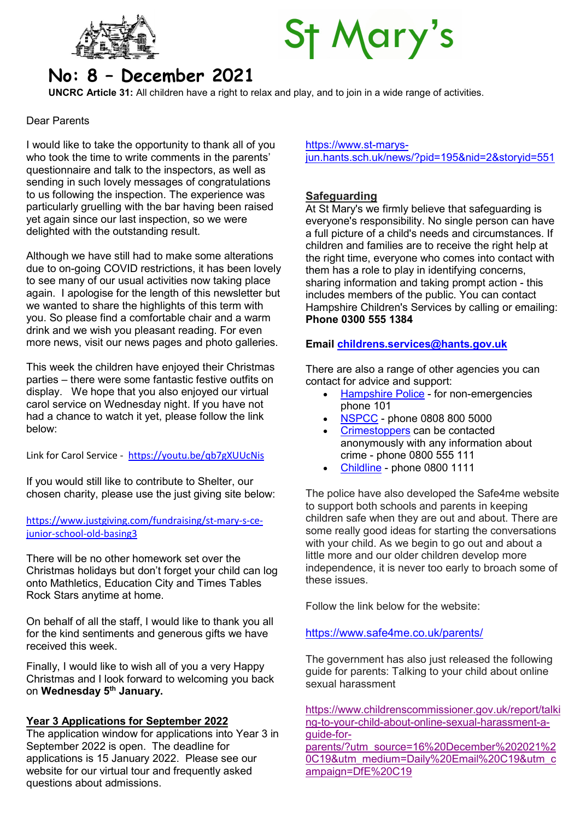

# **St Mary's**

# No: 8 – December 2021

UNCRC Article 31: All children have a right to relax and play, and to join in a wide range of activities.

#### Dear Parents

I would like to take the opportunity to thank all of you who took the time to write comments in the parents' questionnaire and talk to the inspectors, as well as sending in such lovely messages of congratulations to us following the inspection. The experience was particularly gruelling with the bar having been raised yet again since our last inspection, so we were delighted with the outstanding result.

Although we have still had to make some alterations due to on-going COVID restrictions, it has been lovely to see many of our usual activities now taking place again. I apologise for the length of this newsletter but we wanted to share the highlights of this term with you. So please find a comfortable chair and a warm drink and we wish you pleasant reading. For even more news, visit our news pages and photo galleries.

This week the children have enjoyed their Christmas parties – there were some fantastic festive outfits on display. We hope that you also enjoyed our virtual carol service on Wednesday night. If you have not had a chance to watch it yet, please follow the link below:

Link for Carol Service - https://youtu.be/qb7gXUUcNis

If you would still like to contribute to Shelter, our chosen charity, please use the just giving site below:

# https://www.justgiving.com/fundraising/st-mary-s-cejunior-school-old-basing3

There will be no other homework set over the Christmas holidays but don't forget your child can log onto Mathletics, Education City and Times Tables Rock Stars anytime at home.

On behalf of all the staff, I would like to thank you all for the kind sentiments and generous gifts we have received this week.

Finally, I would like to wish all of you a very Happy Christmas and I look forward to welcoming you back on Wednesday 5<sup>th</sup> January.

# Year 3 Applications for September 2022

The application window for applications into Year 3 in September 2022 is open. The deadline for applications is 15 January 2022. Please see our website for our virtual tour and frequently asked questions about admissions.

https://www.st-marysjun.hants.sch.uk/news/?pid=195&nid=2&storyid=551

# **Safeguarding**

At St Mary's we firmly believe that safeguarding is everyone's responsibility. No single person can have a full picture of a child's needs and circumstances. If children and families are to receive the right help at the right time, everyone who comes into contact with them has a role to play in identifying concerns, sharing information and taking prompt action - this includes members of the public. You can contact Hampshire Children's Services by calling or emailing: Phone 0300 555 1384

# Email childrens.services@hants.gov.uk

There are also a range of other agencies you can contact for advice and support:

- Hampshire Police for non-emergencies phone 101
- NSPCC phone 0808 800 5000
- Crimestoppers can be contacted anonymously with any information about crime - phone 0800 555 111
- Childline phone 0800 1111

The police have also developed the Safe4me website to support both schools and parents in keeping children safe when they are out and about. There are some really good ideas for starting the conversations with your child. As we begin to go out and about a little more and our older children develop more independence, it is never too early to broach some of these issues.

Follow the link below for the website:

# https://www.safe4me.co.uk/parents/

The government has also just released the following guide for parents: Talking to your child about online sexual harassment

https://www.childrenscommissioner.gov.uk/report/talki ng-to-your-child-about-online-sexual-harassment-aguide-forparents/?utm\_source=16%20December%202021%2 0C19&utm\_medium=Daily%20Email%20C19&utm\_c ampaign=DfE%20C19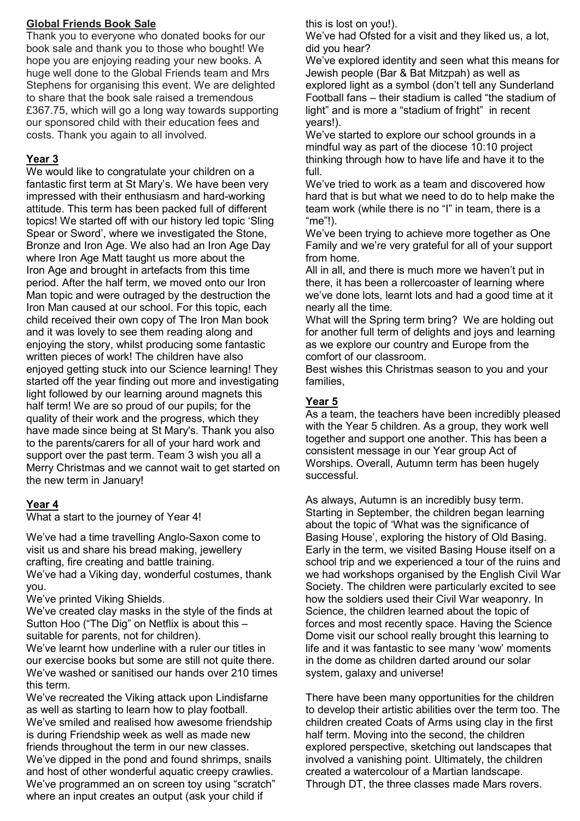# Global Friends Book Sale

Thank you to everyone who donated books for our book sale and thank you to those who bought! We hope you are enjoying reading your new books. A huge well done to the Global Friends team and Mrs Stephens for organising this event. We are delighted to share that the book sale raised a tremendous £367.75, which will go a long way towards supporting our sponsored child with their education fees and costs. Thank you again to all involved.

# Year 3

We would like to congratulate your children on a fantastic first term at St Mary's. We have been very impressed with their enthusiasm and hard-working attitude. This term has been packed full of different topics! We started off with our history led topic 'Sling Spear or Sword', where we investigated the Stone, Bronze and Iron Age. We also had an Iron Age Day where Iron Age Matt taught us more about the Iron Age and brought in artefacts from this time period. After the half term, we moved onto our Iron Man topic and were outraged by the destruction the Iron Man caused at our school. For this topic, each child received their own copy of The Iron Man book and it was lovely to see them reading along and enjoying the story, whilst producing some fantastic written pieces of work! The children have also enjoyed getting stuck into our Science learning! They started off the year finding out more and investigating light followed by our learning around magnets this half term! We are so proud of our pupils; for the quality of their work and the progress, which they have made since being at St Mary's. Thank you also to the parents/carers for all of your hard work and support over the past term. Team 3 wish you all a Merry Christmas and we cannot wait to get started on the new term in January!

# Year 4

What a start to the journey of Year 4!

We've had a time travelling Anglo-Saxon come to visit us and share his bread making, jewellery crafting, fire creating and battle training. We've had a Viking day, wonderful costumes, thank you.

We've printed Viking Shields.

We've created clay masks in the style of the finds at Sutton Hoo ("The Dig" on Netflix is about this – suitable for parents, not for children).

We've learnt how underline with a ruler our titles in our exercise books but some are still not quite there. We've washed or sanitised our hands over 210 times this term.

We've recreated the Viking attack upon Lindisfarne as well as starting to learn how to play football. We've smiled and realised how awesome friendship is during Friendship week as well as made new friends throughout the term in our new classes. We've dipped in the pond and found shrimps, snails and host of other wonderful aquatic creepy crawlies. We've programmed an on screen toy using "scratch" where an input creates an output (ask your child if

this is lost on you!).

We've had Ofsted for a visit and they liked us, a lot, did you hear?

We've explored identity and seen what this means for Jewish people (Bar & Bat Mitzpah) as well as explored light as a symbol (don't tell any Sunderland Football fans – their stadium is called "the stadium of light" and is more a "stadium of fright" in recent years!).

We've started to explore our school grounds in a mindful way as part of the diocese 10:10 project thinking through how to have life and have it to the full.

We've tried to work as a team and discovered how hard that is but what we need to do to help make the team work (while there is no "I" in team, there is a "me"!).

We've been trying to achieve more together as One Family and we're very grateful for all of your support from home.

All in all, and there is much more we haven't put in there, it has been a rollercoaster of learning where we've done lots, learnt lots and had a good time at it nearly all the time.

What will the Spring term bring? We are holding out for another full term of delights and joys and learning as we explore our country and Europe from the comfort of our classroom.

Best wishes this Christmas season to you and your families,

# Year 5

As a team, the teachers have been incredibly pleased with the Year 5 children. As a group, they work well together and support one another. This has been a consistent message in our Year group Act of Worships. Overall, Autumn term has been hugely successful.

As always, Autumn is an incredibly busy term. Starting in September, the children began learning about the topic of 'What was the significance of Basing House', exploring the history of Old Basing. Early in the term, we visited Basing House itself on a school trip and we experienced a tour of the ruins and we had workshops organised by the English Civil War Society. The children were particularly excited to see how the soldiers used their Civil War weaponry. In Science, the children learned about the topic of forces and most recently space. Having the Science Dome visit our school really brought this learning to life and it was fantastic to see many 'wow' moments in the dome as children darted around our solar system, galaxy and universe!

There have been many opportunities for the children to develop their artistic abilities over the term too. The children created Coats of Arms using clay in the first half term. Moving into the second, the children explored perspective, sketching out landscapes that involved a vanishing point. Ultimately, the children created a watercolour of a Martian landscape. Through DT, the three classes made Mars rovers.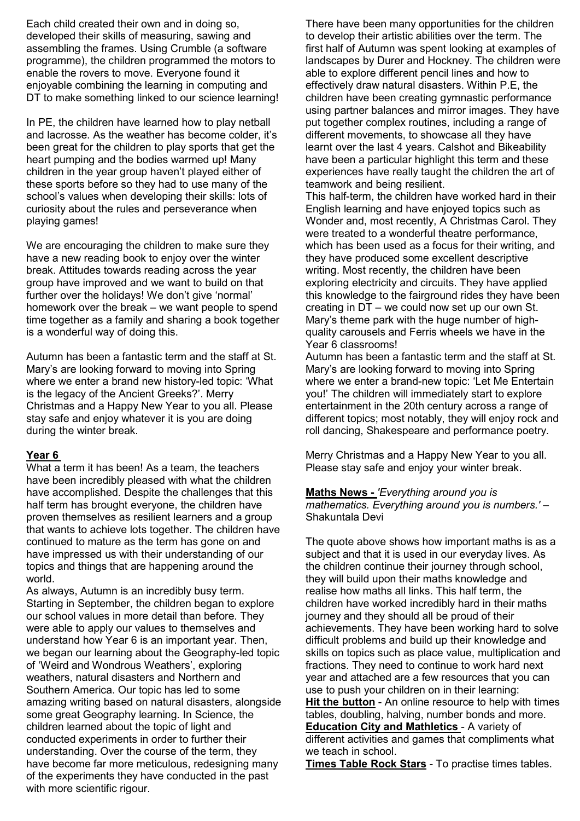Each child created their own and in doing so, developed their skills of measuring, sawing and assembling the frames. Using Crumble (a software programme), the children programmed the motors to enable the rovers to move. Everyone found it enjoyable combining the learning in computing and DT to make something linked to our science learning!

In PE, the children have learned how to play netball and lacrosse. As the weather has become colder, it's been great for the children to play sports that get the heart pumping and the bodies warmed up! Many children in the year group haven't played either of these sports before so they had to use many of the school's values when developing their skills: lots of curiosity about the rules and perseverance when playing games!

We are encouraging the children to make sure they have a new reading book to enjoy over the winter break. Attitudes towards reading across the year group have improved and we want to build on that further over the holidays! We don't give 'normal' homework over the break – we want people to spend time together as a family and sharing a book together is a wonderful way of doing this.

Autumn has been a fantastic term and the staff at St. Mary's are looking forward to moving into Spring where we enter a brand new history-led topic: 'What is the legacy of the Ancient Greeks?'. Merry Christmas and a Happy New Year to you all. Please stay safe and enjoy whatever it is you are doing during the winter break.

# Year 6

What a term it has been! As a team, the teachers have been incredibly pleased with what the children have accomplished. Despite the challenges that this half term has brought everyone, the children have proven themselves as resilient learners and a group that wants to achieve lots together. The children have continued to mature as the term has gone on and have impressed us with their understanding of our topics and things that are happening around the world.

As always, Autumn is an incredibly busy term. Starting in September, the children began to explore our school values in more detail than before. They were able to apply our values to themselves and understand how Year 6 is an important year. Then, we began our learning about the Geography-led topic of 'Weird and Wondrous Weathers', exploring weathers, natural disasters and Northern and Southern America. Our topic has led to some amazing writing based on natural disasters, alongside some great Geography learning. In Science, the children learned about the topic of light and conducted experiments in order to further their understanding. Over the course of the term, they have become far more meticulous, redesigning many of the experiments they have conducted in the past with more scientific rigour.

There have been many opportunities for the children to develop their artistic abilities over the term. The first half of Autumn was spent looking at examples of landscapes by Durer and Hockney. The children were able to explore different pencil lines and how to effectively draw natural disasters. Within P.E, the children have been creating gymnastic performance using partner balances and mirror images. They have put together complex routines, including a range of different movements, to showcase all they have learnt over the last 4 years. Calshot and Bikeability have been a particular highlight this term and these experiences have really taught the children the art of teamwork and being resilient.

This half-term, the children have worked hard in their English learning and have enjoyed topics such as Wonder and, most recently, A Christmas Carol. They were treated to a wonderful theatre performance, which has been used as a focus for their writing, and they have produced some excellent descriptive writing. Most recently, the children have been exploring electricity and circuits. They have applied this knowledge to the fairground rides they have been creating in DT – we could now set up our own St. Mary's theme park with the huge number of highquality carousels and Ferris wheels we have in the Year 6 classrooms!

Autumn has been a fantastic term and the staff at St. Mary's are looking forward to moving into Spring where we enter a brand-new topic: 'Let Me Entertain you!' The children will immediately start to explore entertainment in the 20th century across a range of different topics; most notably, they will enjoy rock and roll dancing, Shakespeare and performance poetry.

Merry Christmas and a Happy New Year to you all. Please stay safe and enjoy your winter break.

Maths News - 'Everything around you is mathematics. Everything around you is numbers.' – Shakuntala Devi

The quote above shows how important maths is as a subject and that it is used in our everyday lives. As the children continue their journey through school, they will build upon their maths knowledge and realise how maths all links. This half term, the children have worked incredibly hard in their maths journey and they should all be proud of their achievements. They have been working hard to solve difficult problems and build up their knowledge and skills on topics such as place value, multiplication and fractions. They need to continue to work hard next year and attached are a few resources that you can use to push your children on in their learning: Hit the button - An online resource to help with times tables, doubling, halving, number bonds and more. Education City and Mathletics - A variety of different activities and games that compliments what we teach in school.

Times Table Rock Stars - To practise times tables.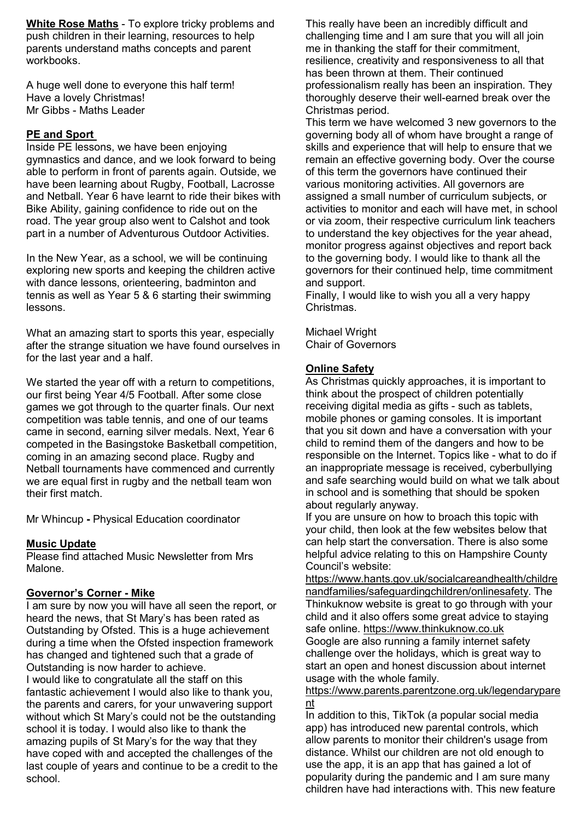White Rose Maths - To explore tricky problems and push children in their learning, resources to help parents understand maths concepts and parent workbooks.

A huge well done to everyone this half term! Have a lovely Christmas! Mr Gibbs - Maths Leader

# PE and Sport

Inside PE lessons, we have been enjoying gymnastics and dance, and we look forward to being able to perform in front of parents again. Outside, we have been learning about Rugby, Football, Lacrosse and Netball. Year 6 have learnt to ride their bikes with Bike Ability, gaining confidence to ride out on the road. The year group also went to Calshot and took part in a number of Adventurous Outdoor Activities.

In the New Year, as a school, we will be continuing exploring new sports and keeping the children active with dance lessons, orienteering, badminton and tennis as well as Year 5 & 6 starting their swimming lessons.

What an amazing start to sports this year, especially after the strange situation we have found ourselves in for the last year and a half.

We started the year off with a return to competitions. our first being Year 4/5 Football. After some close games we got through to the quarter finals. Our next competition was table tennis, and one of our teams came in second, earning silver medals. Next, Year 6 competed in the Basingstoke Basketball competition, coming in an amazing second place. Rugby and Netball tournaments have commenced and currently we are equal first in rugby and the netball team won their first match.

Mr Whincup - Physical Education coordinator

# Music Update

Please find attached Music Newsletter from Mrs Malone.

# Governor's Corner - Mike

I am sure by now you will have all seen the report, or heard the news, that St Mary's has been rated as Outstanding by Ofsted. This is a huge achievement during a time when the Ofsted inspection framework has changed and tightened such that a grade of Outstanding is now harder to achieve.

I would like to congratulate all the staff on this fantastic achievement I would also like to thank you, the parents and carers, for your unwavering support without which St Mary's could not be the outstanding school it is today. I would also like to thank the amazing pupils of St Mary's for the way that they have coped with and accepted the challenges of the last couple of years and continue to be a credit to the school.

This really have been an incredibly difficult and challenging time and I am sure that you will all join me in thanking the staff for their commitment, resilience, creativity and responsiveness to all that has been thrown at them. Their continued professionalism really has been an inspiration. They thoroughly deserve their well-earned break over the Christmas period.

This term we have welcomed 3 new governors to the governing body all of whom have brought a range of skills and experience that will help to ensure that we remain an effective governing body. Over the course of this term the governors have continued their various monitoring activities. All governors are assigned a small number of curriculum subjects, or activities to monitor and each will have met, in school or via zoom, their respective curriculum link teachers to understand the key objectives for the year ahead, monitor progress against objectives and report back to the governing body. I would like to thank all the governors for their continued help, time commitment and support.

Finally, I would like to wish you all a very happy Christmas.

Michael Wright Chair of Governors

#### Online Safety

As Christmas quickly approaches, it is important to think about the prospect of children potentially receiving digital media as gifts - such as tablets, mobile phones or gaming consoles. It is important that you sit down and have a conversation with your child to remind them of the dangers and how to be responsible on the Internet. Topics like - what to do if an inappropriate message is received, cyberbullying and safe searching would build on what we talk about in school and is something that should be spoken about regularly anyway.

If you are unsure on how to broach this topic with your child, then look at the few websites below that can help start the conversation. There is also some helpful advice relating to this on Hampshire County Council's website:

https://www.hants.gov.uk/socialcareandhealth/childre nandfamilies/safeguardingchildren/onlinesafety. The Thinkuknow website is great to go through with your child and it also offers some great advice to staying safe online. https://www.thinkuknow.co.uk Google are also running a family internet safety challenge over the holidays, which is great way to start an open and honest discussion about internet usage with the whole family.

https://www.parents.parentzone.org.uk/legendarypare nt

In addition to this, TikTok (a popular social media app) has introduced new parental controls, which allow parents to monitor their children's usage from distance. Whilst our children are not old enough to use the app, it is an app that has gained a lot of popularity during the pandemic and I am sure many children have had interactions with. This new feature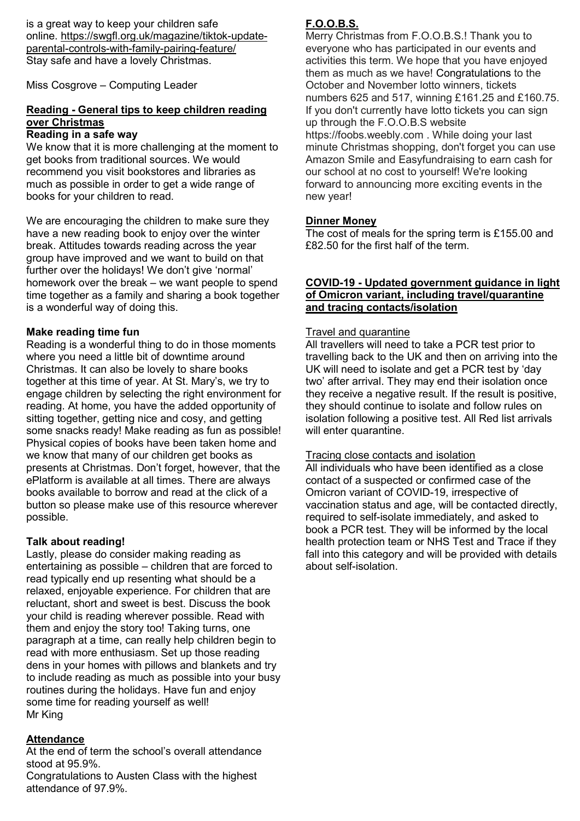is a great way to keep your children safe online. https://swgfl.org.uk/magazine/tiktok-updateparental-controls-with-family-pairing-feature/ Stay safe and have a lovely Christmas.

Miss Cosgrove – Computing Leader

# Reading - General tips to keep children reading over Christmas

#### Reading in a safe way

We know that it is more challenging at the moment to get books from traditional sources. We would recommend you visit bookstores and libraries as much as possible in order to get a wide range of books for your children to read.

We are encouraging the children to make sure they have a new reading book to enjoy over the winter break. Attitudes towards reading across the year group have improved and we want to build on that further over the holidays! We don't give 'normal' homework over the break – we want people to spend time together as a family and sharing a book together is a wonderful way of doing this.

#### Make reading time fun

Reading is a wonderful thing to do in those moments where you need a little bit of downtime around Christmas. It can also be lovely to share books together at this time of year. At St. Mary's, we try to engage children by selecting the right environment for reading. At home, you have the added opportunity of sitting together, getting nice and cosy, and getting some snacks ready! Make reading as fun as possible! Physical copies of books have been taken home and we know that many of our children get books as presents at Christmas. Don't forget, however, that the ePlatform is available at all times. There are always books available to borrow and read at the click of a button so please make use of this resource wherever possible.

#### Talk about reading!

Lastly, please do consider making reading as entertaining as possible – children that are forced to read typically end up resenting what should be a relaxed, enjoyable experience. For children that are reluctant, short and sweet is best. Discuss the book your child is reading wherever possible. Read with them and enjoy the story too! Taking turns, one paragraph at a time, can really help children begin to read with more enthusiasm. Set up those reading dens in your homes with pillows and blankets and try to include reading as much as possible into your busy routines during the holidays. Have fun and enjoy some time for reading yourself as well! Mr King

# **Attendance**

At the end of term the school's overall attendance stood at 95.9%.

Congratulations to Austen Class with the highest attendance of 97.9%.

# F.O.O.B.S.

Merry Christmas from F.O.O.B.S.! Thank you to everyone who has participated in our events and activities this term. We hope that you have enjoyed them as much as we have! Congratulations to the October and November lotto winners, tickets numbers 625 and 517, winning £161.25 and £160.75. If you don't currently have lotto tickets you can sign up through the F.O.O.B.S website https://foobs.weebly.com . While doing your last minute Christmas shopping, don't forget you can use Amazon Smile and Easyfundraising to earn cash for our school at no cost to yourself! We're looking forward to announcing more exciting events in the new year!

#### Dinner Money

The cost of meals for the spring term is £155.00 and £82.50 for the first half of the term.

#### COVID-19 - Updated government guidance in light of Omicron variant, including travel/quarantine and tracing contacts/isolation

#### Travel and quarantine

All travellers will need to take a PCR test prior to travelling back to the UK and then on arriving into the UK will need to isolate and get a PCR test by 'day two' after arrival. They may end their isolation once they receive a negative result. If the result is positive, they should continue to isolate and follow rules on isolation following a positive test. All Red list arrivals will enter quarantine.

#### Tracing close contacts and isolation

All individuals who have been identified as a close contact of a suspected or confirmed case of the Omicron variant of COVID-19, irrespective of vaccination status and age, will be contacted directly, required to self-isolate immediately, and asked to book a PCR test. They will be informed by the local health protection team or NHS Test and Trace if they fall into this category and will be provided with details about self-isolation.